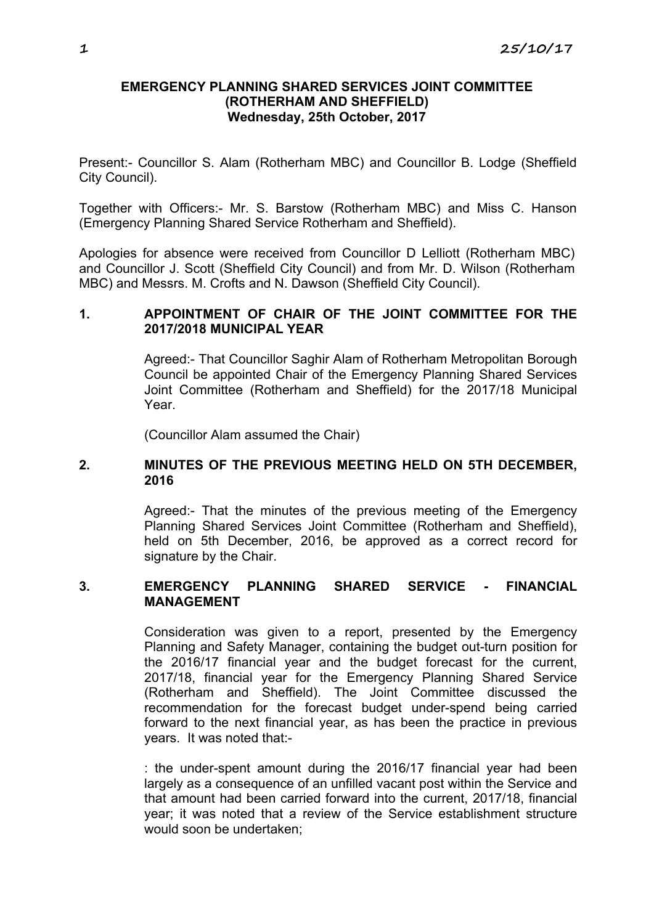## **EMERGENCY PLANNING SHARED SERVICES JOINT COMMITTEE (ROTHERHAM AND SHEFFIELD) Wednesday, 25th October, 2017**

Present:- Councillor S. Alam (Rotherham MBC) and Councillor B. Lodge (Sheffield City Council).

Together with Officers:- Mr. S. Barstow (Rotherham MBC) and Miss C. Hanson (Emergency Planning Shared Service Rotherham and Sheffield).

Apologies for absence were received from Councillor D Lelliott (Rotherham MBC) and Councillor J. Scott (Sheffield City Council) and from Mr. D. Wilson (Rotherham MBC) and Messrs. M. Crofts and N. Dawson (Sheffield City Council).

# **1. APPOINTMENT OF CHAIR OF THE JOINT COMMITTEE FOR THE 2017/2018 MUNICIPAL YEAR**

Agreed:- That Councillor Saghir Alam of Rotherham Metropolitan Borough Council be appointed Chair of the Emergency Planning Shared Services Joint Committee (Rotherham and Sheffield) for the 2017/18 Municipal Year.

(Councillor Alam assumed the Chair)

## **2. MINUTES OF THE PREVIOUS MEETING HELD ON 5TH DECEMBER, 2016**

Agreed:- That the minutes of the previous meeting of the Emergency Planning Shared Services Joint Committee (Rotherham and Sheffield), held on 5th December, 2016, be approved as a correct record for signature by the Chair.

## **3. EMERGENCY PLANNING SHARED SERVICE - FINANCIAL MANAGEMENT**

Consideration was given to a report, presented by the Emergency Planning and Safety Manager, containing the budget out-turn position for the 2016/17 financial year and the budget forecast for the current, 2017/18, financial year for the Emergency Planning Shared Service (Rotherham and Sheffield). The Joint Committee discussed the recommendation for the forecast budget under-spend being carried forward to the next financial year, as has been the practice in previous years. It was noted that:-

: the under-spent amount during the 2016/17 financial year had been largely as a consequence of an unfilled vacant post within the Service and that amount had been carried forward into the current, 2017/18, financial year; it was noted that a review of the Service establishment structure would soon be undertaken;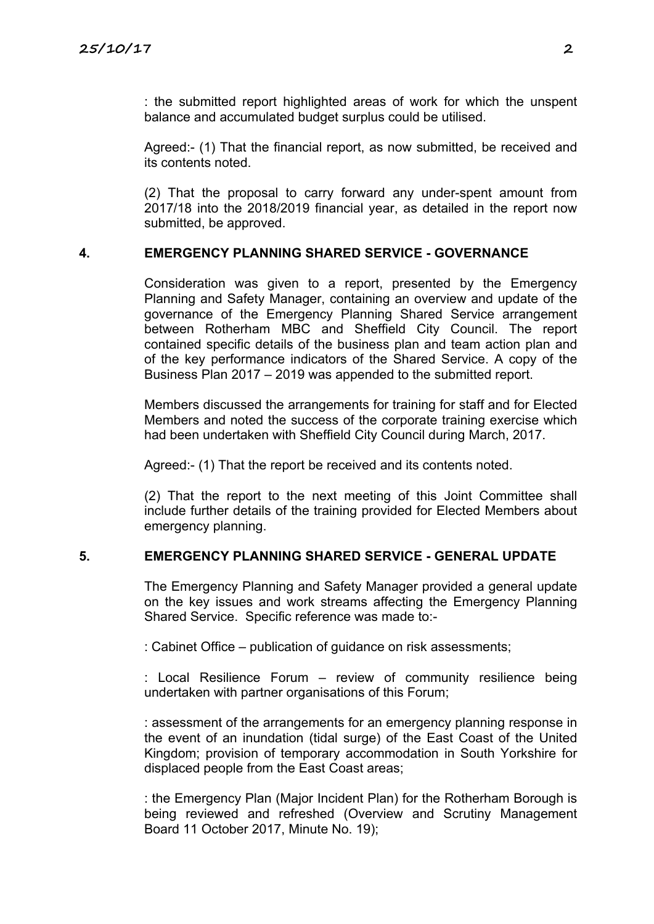: the submitted report highlighted areas of work for which the unspent balance and accumulated budget surplus could be utilised.

Agreed:- (1) That the financial report, as now submitted, be received and its contents noted.

(2) That the proposal to carry forward any under-spent amount from 2017/18 into the 2018/2019 financial year, as detailed in the report now submitted, be approved.

## **4. EMERGENCY PLANNING SHARED SERVICE - GOVERNANCE**

Consideration was given to a report, presented by the Emergency Planning and Safety Manager, containing an overview and update of the governance of the Emergency Planning Shared Service arrangement between Rotherham MBC and Sheffield City Council. The report contained specific details of the business plan and team action plan and of the key performance indicators of the Shared Service. A copy of the Business Plan 2017 – 2019 was appended to the submitted report.

Members discussed the arrangements for training for staff and for Elected Members and noted the success of the corporate training exercise which had been undertaken with Sheffield City Council during March, 2017.

Agreed:- (1) That the report be received and its contents noted.

(2) That the report to the next meeting of this Joint Committee shall include further details of the training provided for Elected Members about emergency planning.

#### **5. EMERGENCY PLANNING SHARED SERVICE - GENERAL UPDATE**

The Emergency Planning and Safety Manager provided a general update on the key issues and work streams affecting the Emergency Planning Shared Service. Specific reference was made to:-

: Cabinet Office – publication of guidance on risk assessments;

: Local Resilience Forum – review of community resilience being undertaken with partner organisations of this Forum;

: assessment of the arrangements for an emergency planning response in the event of an inundation (tidal surge) of the East Coast of the United Kingdom; provision of temporary accommodation in South Yorkshire for displaced people from the East Coast areas;

: the Emergency Plan (Major Incident Plan) for the Rotherham Borough is being reviewed and refreshed (Overview and Scrutiny Management Board 11 October 2017, Minute No. 19);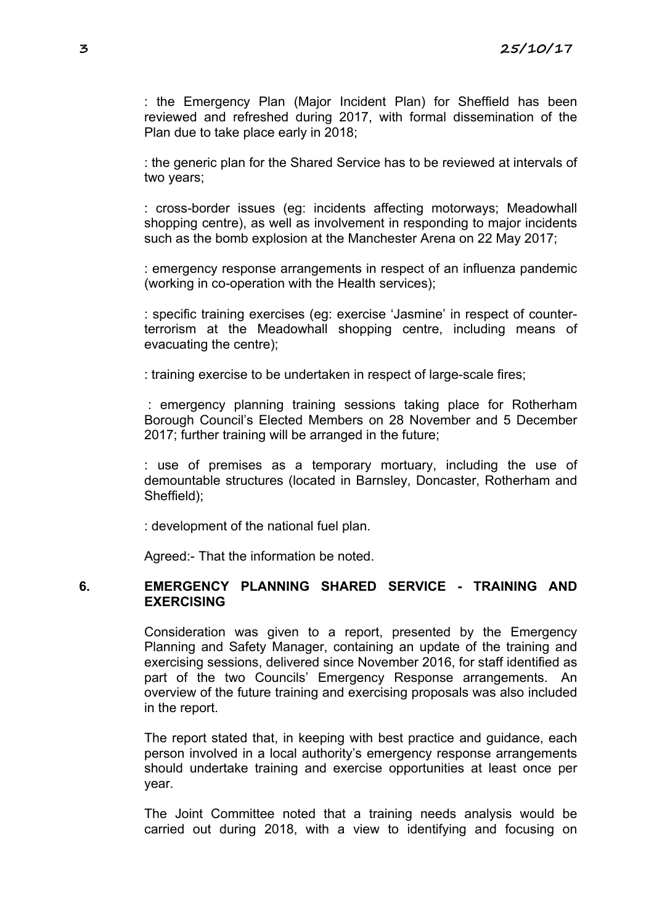: the Emergency Plan (Major Incident Plan) for Sheffield has been reviewed and refreshed during 2017, with formal dissemination of the Plan due to take place early in 2018;

: the generic plan for the Shared Service has to be reviewed at intervals of two years;

: cross-border issues (eg: incidents affecting motorways; Meadowhall shopping centre), as well as involvement in responding to major incidents such as the bomb explosion at the Manchester Arena on 22 May 2017;

: emergency response arrangements in respect of an influenza pandemic (working in co-operation with the Health services);

: specific training exercises (eg: exercise 'Jasmine' in respect of counterterrorism at the Meadowhall shopping centre, including means of evacuating the centre);

: training exercise to be undertaken in respect of large-scale fires;

: emergency planning training sessions taking place for Rotherham Borough Council's Elected Members on 28 November and 5 December 2017; further training will be arranged in the future;

: use of premises as a temporary mortuary, including the use of demountable structures (located in Barnsley, Doncaster, Rotherham and Sheffield);

: development of the national fuel plan.

Agreed:- That the information be noted.

#### **6. EMERGENCY PLANNING SHARED SERVICE - TRAINING AND EXERCISING**

Consideration was given to a report, presented by the Emergency Planning and Safety Manager, containing an update of the training and exercising sessions, delivered since November 2016, for staff identified as part of the two Councils' Emergency Response arrangements. An overview of the future training and exercising proposals was also included in the report.

The report stated that, in keeping with best practice and guidance, each person involved in a local authority's emergency response arrangements should undertake training and exercise opportunities at least once per year.

The Joint Committee noted that a training needs analysis would be carried out during 2018, with a view to identifying and focusing on